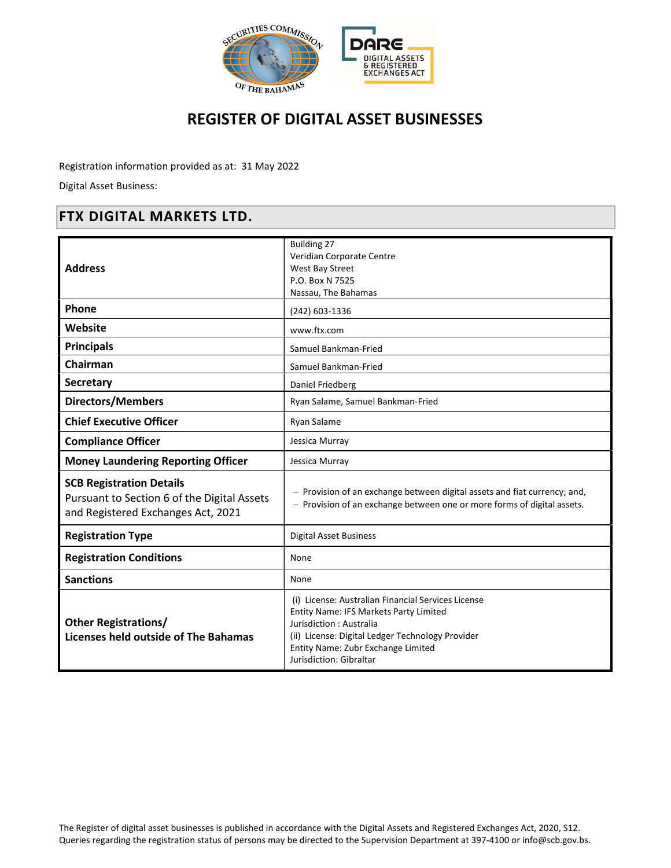

# REGISTER OF DIGITAL ASSET BUSINESSES

Registration information provided as at: 31 May 2022

Digital Asset Business:

### FTX DIGITAL MARKETS LTD.

|                                             | Building 27                                                                                  |
|---------------------------------------------|----------------------------------------------------------------------------------------------|
|                                             | Veridian Corporate Centre                                                                    |
| <b>Address</b>                              | <b>West Bay Street</b>                                                                       |
|                                             | P.O. Box N 7525                                                                              |
|                                             | Nassau, The Bahamas                                                                          |
| Phone                                       | (242) 603-1336                                                                               |
| Website                                     | www.ftx.com                                                                                  |
| <b>Principals</b>                           | Samuel Bankman-Fried                                                                         |
| Chairman                                    | Samuel Bankman-Fried                                                                         |
| <b>Secretary</b>                            | Daniel Friedberg                                                                             |
| <b>Directors/Members</b>                    | Ryan Salame, Samuel Bankman-Fried                                                            |
| <b>Chief Executive Officer</b>              | Ryan Salame                                                                                  |
| <b>Compliance Officer</b>                   | Jessica Murray                                                                               |
| <b>Money Laundering Reporting Officer</b>   | Jessica Murray                                                                               |
| <b>SCB Registration Details</b>             |                                                                                              |
|                                             | - Provision of an exchange between digital assets and fiat currency; and,                    |
| Pursuant to Section 6 of the Digital Assets | - Provision of an exchange between one or more forms of digital assets.                      |
| and Registered Exchanges Act, 2021          |                                                                                              |
| <b>Registration Type</b>                    | <b>Digital Asset Business</b>                                                                |
| <b>Registration Conditions</b>              | None                                                                                         |
| <b>Sanctions</b>                            | None                                                                                         |
|                                             | (i) License: Australian Financial Services License<br>Entity Name: IFS Markets Party Limited |
| <b>Other Registrations/</b>                 | Jurisdiction: Australia                                                                      |
| Licenses held outside of The Bahamas        | (ii) License: Digital Ledger Technology Provider                                             |
|                                             | Entity Name: Zubr Exchange Limited                                                           |
|                                             | Jurisdiction: Gibraltar                                                                      |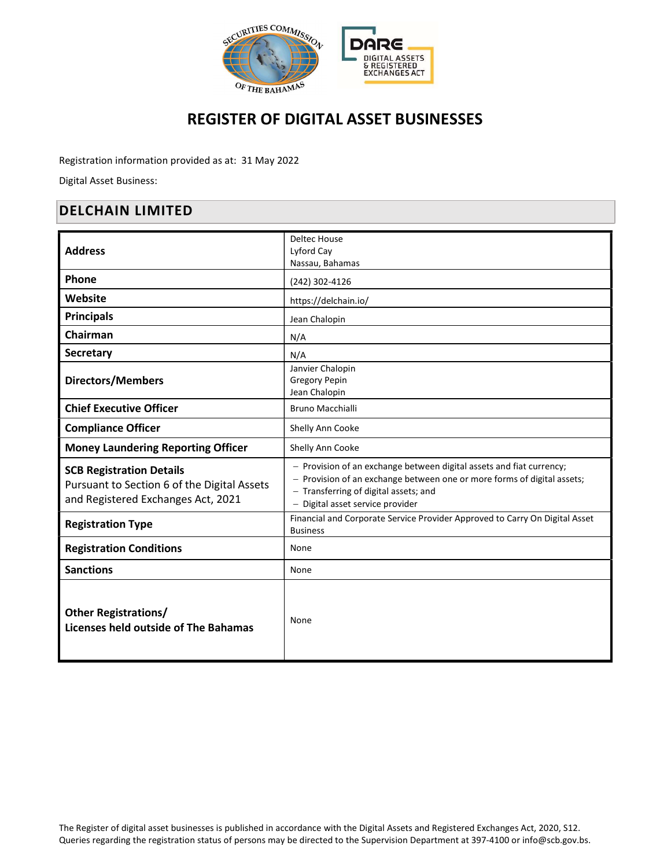

# REGISTER OF DIGITAL ASSET BUSINESSES

Registration information provided as at: 31 May 2022

Digital Asset Business:

#### DELCHAIN LIMITED

|                                                                     | <b>Deltec House</b>                                                                            |
|---------------------------------------------------------------------|------------------------------------------------------------------------------------------------|
| <b>Address</b>                                                      | Lyford Cay<br>Nassau, Bahamas                                                                  |
| Phone                                                               |                                                                                                |
|                                                                     | (242) 302-4126                                                                                 |
| Website                                                             | https://delchain.io/                                                                           |
| <b>Principals</b>                                                   | Jean Chalopin                                                                                  |
| Chairman                                                            | N/A                                                                                            |
| <b>Secretary</b>                                                    | N/A                                                                                            |
|                                                                     | Janvier Chalopin                                                                               |
| <b>Directors/Members</b>                                            | <b>Gregory Pepin</b>                                                                           |
|                                                                     | Jean Chalopin                                                                                  |
| <b>Chief Executive Officer</b>                                      | <b>Bruno Macchialli</b>                                                                        |
| <b>Compliance Officer</b>                                           | Shelly Ann Cooke                                                                               |
| <b>Money Laundering Reporting Officer</b>                           | Shelly Ann Cooke                                                                               |
| <b>SCB Registration Details</b>                                     | - Provision of an exchange between digital assets and fiat currency;                           |
| Pursuant to Section 6 of the Digital Assets                         | - Provision of an exchange between one or more forms of digital assets;                        |
| and Registered Exchanges Act, 2021                                  | - Transferring of digital assets; and                                                          |
|                                                                     | - Digital asset service provider                                                               |
| <b>Registration Type</b>                                            | Financial and Corporate Service Provider Approved to Carry On Digital Asset<br><b>Business</b> |
| <b>Registration Conditions</b>                                      | None                                                                                           |
| <b>Sanctions</b>                                                    | None                                                                                           |
| <b>Other Registrations/</b><br>Licenses held outside of The Bahamas | None                                                                                           |